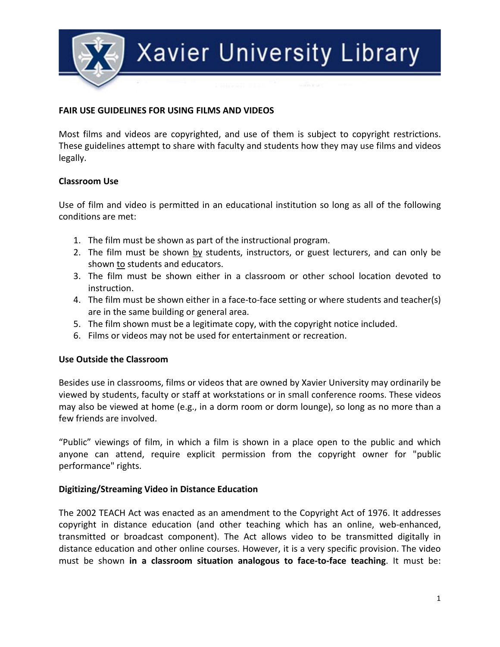

### **FAIR USE GUIDELINES FOR USING FILMS AND VIDEOS**

Most films and videos are copyrighted, and use of them is subject to copyright restrictions. These guidelines attempt to share with faculty and students how they may use films and videos legally.

#### **Classroom Use**

Use of film and video is permitted in an educational institution so long as all of the following conditions are met:

- 1. The film must be shown as part of the instructional program.
- 2. The film must be shown by students, instructors, or guest lecturers, and can only be shown to students and educators.
- 3. The film must be shown either in a classroom or other school location devoted to instruction.
- 4. The film must be shown either in a face-to-face setting or where students and teacher(s) are in the same building or general area.
- 5. The film shown must be a legitimate copy, with the copyright notice included.
- 6. Films or videos may not be used for entertainment or recreation.

#### **Use Outside the Classroom**

Besides use in classrooms, films or videos that are owned by Xavier University may ordinarily be viewed by students, faculty or staff at workstations or in small conference rooms. These videos may also be viewed at home (e.g., in a dorm room or dorm lounge), so long as no more than a few friends are involved.

"Public" viewings of film, in which a film is shown in a place open to the public and which anyone can attend, require explicit permission from the copyright owner for "public performance" rights.

#### **Digitizing/Streaming Video in Distance Education**

The 2002 TEACH Act was enacted as an amendment to the Copyright Act of 1976. It addresses copyright in distance education (and other teaching which has an online, web-enhanced, transmitted or broadcast component). The Act allows video to be transmitted digitally in distance education and other online courses. However, it is a very specific provision. The video must be shown **in a classroom situation analogous to face-to-face teaching**. It must be: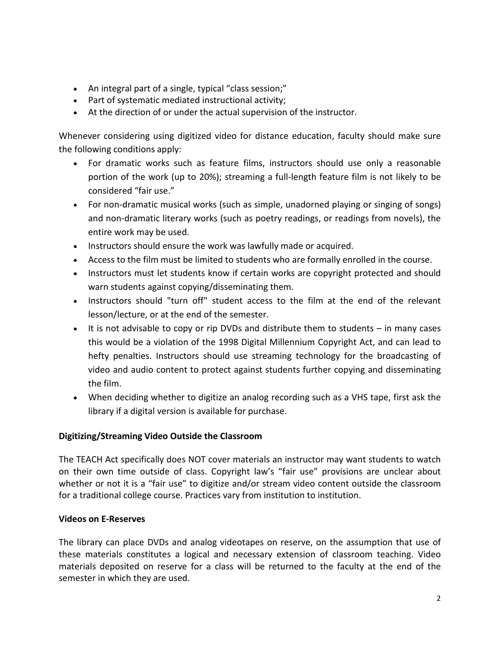- An integral part of a single, typical "class session;"
- Part of systematic mediated instructional activity;
- At the direction of or under the actual supervision of the instructor.

Whenever considering using digitized video for distance education, faculty should make sure the following conditions apply:

- For dramatic works such as feature films, instructors should use only a reasonable portion of the work (up to 20%); streaming a full-length feature film is not likely to be considered "fair use."
- For non-dramatic musical works (such as simple, unadorned playing or singing of songs) and non-dramatic literary works (such as poetry readings, or readings from novels), the entire work may be used.
- Instructors should ensure the work was lawfully made or acquired.
- Access to the film must be limited to students who are formally enrolled in the course.
- Instructors must let students know if certain works are copyright protected and should warn students against copying/disseminating them.
- Instructors should "turn off" student access to the film at the end of the relevant lesson/lecture, or at the end of the semester.
- It is not advisable to copy or rip DVDs and distribute them to students in many cases this would be a violation of the 1998 Digital Millennium Copyright Act, and can lead to hefty penalties. Instructors should use streaming technology for the broadcasting of video and audio content to protect against students further copying and disseminating the film.
- When deciding whether to digitize an analog recording such as a VHS tape, first ask the library if a digital version is available for purchase.

# **Digitizing/Streaming Video Outside the Classroom**

The TEACH Act specifically does NOT cover materials an instructor may want students to watch on their own time outside of class. Copyright law's "fair use" provisions are unclear about whether or not it is a "fair use" to digitize and/or stream video content outside the classroom for a traditional college course. Practices vary from institution to institution.

# **Videos on E-Reserves**

The library can place DVDs and analog videotapes on reserve, on the assumption that use of these materials constitutes a logical and necessary extension of classroom teaching. Video materials deposited on reserve for a class will be returned to the faculty at the end of the semester in which they are used.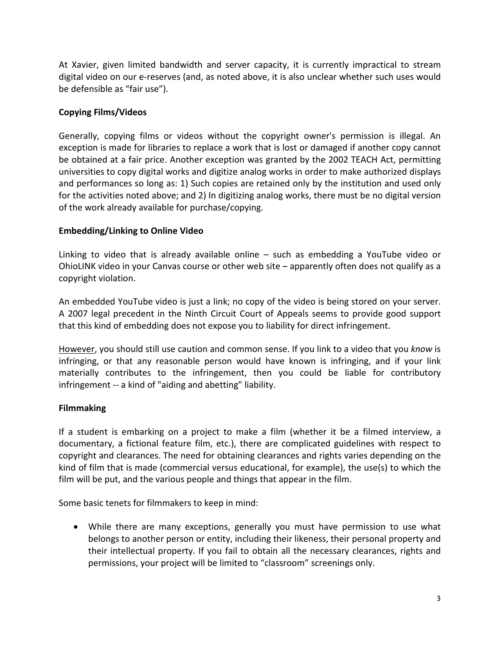At Xavier, given limited bandwidth and server capacity, it is currently impractical to stream digital video on our e-reserves (and, as noted above, it is also unclear whether such uses would be defensible as "fair use").

# **Copying Films/Videos**

Generally, copying films or videos without the copyright owner's permission is illegal. An exception is made for libraries to replace a work that is lost or damaged if another copy cannot be obtained at a fair price. Another exception was granted by the 2002 TEACH Act, permitting universities to copy digital works and digitize analog works in order to make authorized displays and performances so long as: 1) Such copies are retained only by the institution and used only for the activities noted above; and 2) In digitizing analog works, there must be no digital version of the work already available for purchase/copying.

# **Embedding/Linking to Online Video**

Linking to video that is already available online – such as embedding a YouTube video or OhioLINK video in your Canvas course or other web site – apparently often does not qualify as a copyright violation.

An embedded YouTube video is just a link; no copy of the video is being stored on your server. A 2007 legal precedent in the Ninth Circuit Court of Appeals seems to provide good support that this kind of embedding does not expose you to liability for direct infringement.

However, you should still use caution and common sense. If you link to a video that you *know* is infringing, or that any reasonable person would have known is infringing, and if your link materially contributes to the infringement, then you could be liable for contributory infringement -- a kind of "aiding and abetting" liability.

# **Filmmaking**

If a student is embarking on a project to make a film (whether it be a filmed interview, a documentary, a fictional feature film, etc.), there are complicated guidelines with respect to copyright and clearances. The need for obtaining clearances and rights varies depending on the kind of film that is made (commercial versus educational, for example), the use(s) to which the film will be put, and the various people and things that appear in the film.

Some basic tenets for filmmakers to keep in mind:

• While there are many exceptions, generally you must have permission to use what belongs to another person or entity, including their likeness, their personal property and their intellectual property. If you fail to obtain all the necessary clearances, rights and permissions, your project will be limited to "classroom" screenings only.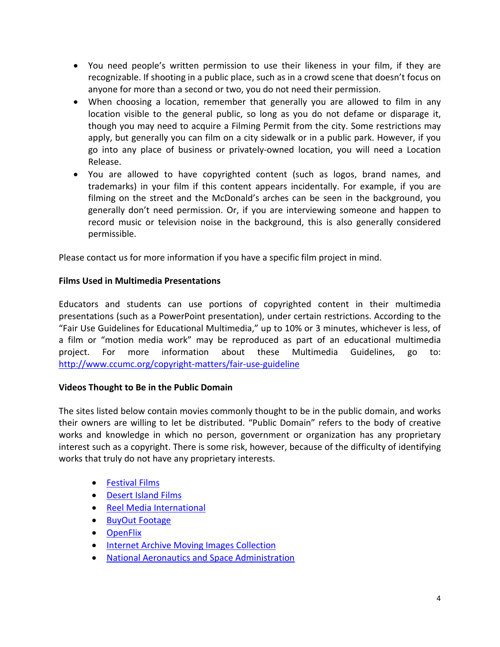- You need people's written permission to use their likeness in your film, if they are recognizable. If shooting in a public place, such as in a crowd scene that doesn't focus on anyone for more than a second or two, you do not need their permission.
- When choosing a location, remember that generally you are allowed to film in any location visible to the general public, so long as you do not defame or disparage it, though you may need to acquire a Filming Permit from the city. Some restrictions may apply, but generally you can film on a city sidewalk or in a public park. However, if you go into any place of business or privately-owned location, you will need a Location Release.
- You are allowed to have copyrighted content (such as logos, brand names, and trademarks) in your film if this content appears incidentally. For example, if you are filming on the street and the McDonald's arches can be seen in the background, you generally don't need permission. Or, if you are interviewing someone and happen to record music or television noise in the background, this is also generally considered permissible.

Please contact us for more information if you have a specific film project in mind.

# **Films Used in Multimedia Presentations**

Educators and students can use portions of copyrighted content in their multimedia presentations (such as a PowerPoint presentation), under certain restrictions. According to the "Fair Use Guidelines for Educational Multimedia," up to 10% or 3 minutes, whichever is less, of a film or "motion media work" may be reproduced as part of an educational multimedia project. For more information about these Multimedia Guidelines, go to: <http://www.ccumc.org/copyright-matters/fair-use-guideline>

# **Videos Thought to Be in the Public Domain**

The sites listed below contain movies commonly thought to be in the public domain, and works their owners are willing to let be distributed. "Public Domain" refers to the body of creative works and knowledge in which no person, government or organization has any proprietary interest such as a copyright. There is some risk, however, because of the difficulty of identifying works that truly do not have any proprietary interests.

- [Festival Films](http://www.fesfilms.com/masters.html)
- [Desert Island Films](http://www.desertislandfilms.com/)
- [Reel Media International](http://www.reelmediainternational.com/)
- [BuyOut Footage](http://www.buyoutfootage.com/)
- [OpenFlix](http://www.openflix.com/)
- [Internet Archive Moving Images Collection](http://www.archive.org/details/movies)
- [National Aeronautics and Space Administration](http://www.nasa.gov/multimedia/videogallery/)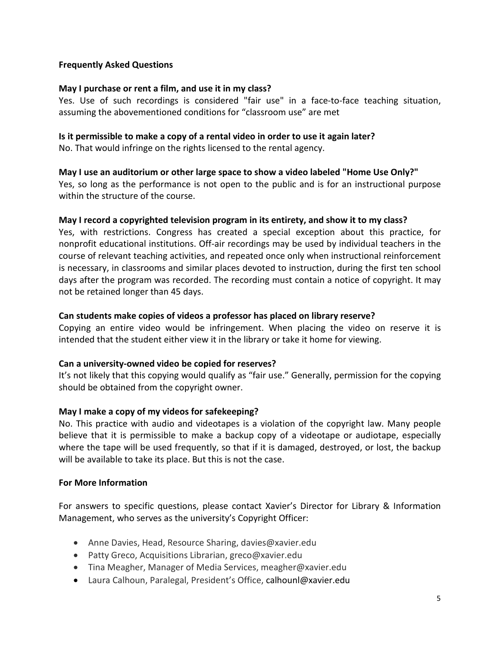#### **Frequently Asked Questions**

#### **May I purchase or rent a film, and use it in my class?**

Yes. Use of such recordings is considered "fair use" in a face-to-face teaching situation, assuming the abovementioned conditions for "classroom use" are met

#### **Is it permissible to make a copy of a rental video in order to use it again later?**

No. That would infringe on the rights licensed to the rental agency.

#### **May I use an auditorium or other large space to show a video labeled "Home Use Only?"**

Yes, so long as the performance is not open to the public and is for an instructional purpose within the structure of the course.

#### **May I record a copyrighted television program in its entirety, and show it to my class?**

Yes, with restrictions. Congress has created a special exception about this practice, for nonprofit educational institutions. Off-air recordings may be used by individual teachers in the course of relevant teaching activities, and repeated once only when instructional reinforcement is necessary, in classrooms and similar places devoted to instruction, during the first ten school days after the program was recorded. The recording must contain a notice of copyright. It may not be retained longer than 45 days.

#### **Can students make copies of videos a professor has placed on library reserve?**

Copying an entire video would be infringement. When placing the video on reserve it is intended that the student either view it in the library or take it home for viewing.

#### **Can a university-owned video be copied for reserves?**

It's not likely that this copying would qualify as "fair use." Generally, permission for the copying should be obtained from the copyright owner.

# **May I make a copy of my videos for safekeeping?**

No. This practice with audio and videotapes is a violation of the copyright law. Many people believe that it is permissible to make a backup copy of a videotape or audiotape, especially where the tape will be used frequently, so that if it is damaged, destroyed, or lost, the backup will be available to take its place. But this is not the case.

#### **For More Information**

For answers to specific questions, please contact Xavier's Director for Library & Information Management, who serves as the university's Copyright Officer:

- Anne Davies, Head, Resource Sharing, davies@xavier.edu
- Patty Greco, Acquisitions Librarian, greco@xavier.edu
- Tina Meagher, Manager of Media Services, meagher@xavier.edu
- Laura Calhoun, Paralegal, President's Office, calhounl@xavier.edu